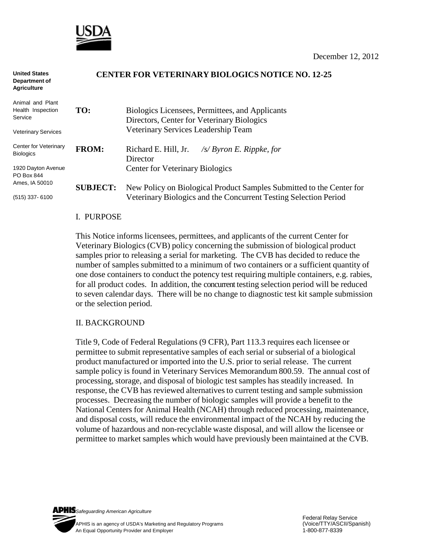

| <b>United States</b><br>Department of<br><b>Agriculture</b> | CENTER FOR VETERINARY BIOLOGICS NOTICE NO. 12-25 |                                                                                |
|-------------------------------------------------------------|--------------------------------------------------|--------------------------------------------------------------------------------|
| Animal and Plant<br>Health Inspection                       | TO:                                              | Biologics Licensees, Permittees, and Applicants                                |
| Service                                                     |                                                  | Directors, Center for Veterinary Biologics                                     |
| <b>Veterinary Services</b>                                  |                                                  | Veterinary Services Leadership Team                                            |
| Center for Veterinary<br><b>Biologics</b>                   | <b>FROM:</b>                                     | Richard E. Hill, Jr. $\frac{f}{S}$ <i>/s/ Byron E. Rippke, for</i><br>Director |
| 1920 Dayton Avenue<br>PO Box 844                            |                                                  | <b>Center for Veterinary Biologics</b>                                         |
| Ames, IA 50010                                              | <b>SUBJECT:</b>                                  | New Policy on Biological Product Samples Submitted to the Center for           |
| $(515)$ 337-6100                                            |                                                  | Veterinary Biologics and the Concurrent Testing Selection Period               |

## I. PURPOSE

This Notice informs licensees, permittees, and applicants of the current Center for Veterinary Biologics (CVB) policy concerning the submission of biological product samples prior to releasing a serial for marketing. The CVB has decided to reduce the number of samples submitted to a minimum of two containers or a sufficient quantity of one dose containers to conduct the potency test requiring multiple containers, e.g. rabies, for all product codes. In addition, the concurrent testing selection period will be reduced to seven calendar days. There will be no change to diagnostic test kit sample submission or the selection period.

## II. BACKGROUND

Title 9, Code of Federal Regulations (9 CFR), Part 113.3 requires each licensee or permittee to submit representative samples of each serial or subserial of a biological product manufactured or imported into the U.S. prior to serial release. The current sample policy is found in Veterinary Services Memorandum 800.59. The annual cost of processing, storage, and disposal of biologic test samples has steadily increased. In response, the CVB has reviewed alternatives to current testing and sample submission processes. Decreasing the number of biologic samples will provide a benefit to the National Centers for Animal Health (NCAH) through reduced processing, maintenance, and disposal costs, will reduce the environmental impact of the NCAH by reducing the volume of hazardous and non-recyclable waste disposal, and will allow the licensee or permittee to market samples which would have previously been maintained at the CVB.

*Safeguarding American Agriculture*